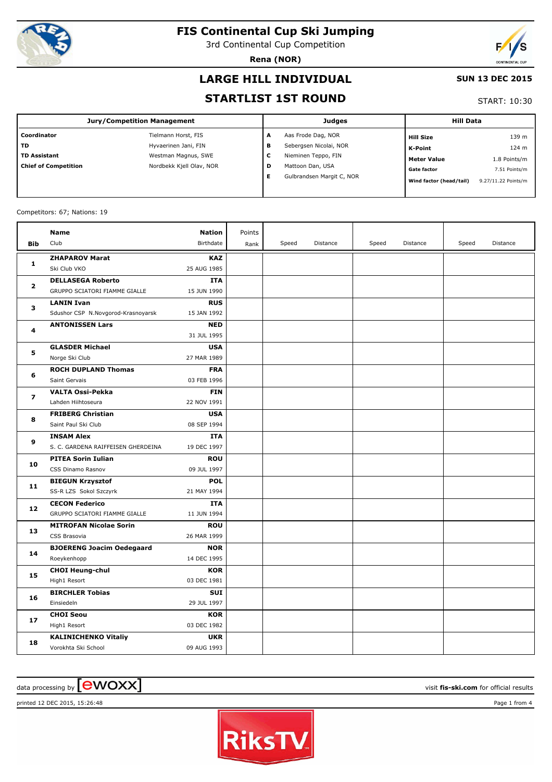

3rd Continental Cup Competition

**Rena (NOR)**



#### **LARGE HILL INDIVIDUAL**

#### **SUN 13 DEC 2015**

#### **STARTLIST 1ST ROUND**

START: 10:30

| <b>Jury/Competition Management</b> |                          |   | <b>Judges</b>             | <b>Hill Data</b>        |                     |  |
|------------------------------------|--------------------------|---|---------------------------|-------------------------|---------------------|--|
| Coordinator                        | Tielmann Horst, FIS      | A | Aas Frode Dag, NOR        | <b>Hill Size</b>        | 139 m               |  |
| <b>TD</b>                          | Hyvaerinen Jani, FIN     | в | Sebergsen Nicolai, NOR    | <b>K-Point</b>          | 124 m               |  |
| <b>TD Assistant</b>                | Westman Magnus, SWE      | c | Nieminen Teppo, FIN       | <b>Meter Value</b>      | 1.8 Points/m        |  |
| <b>Chief of Competition</b>        | Nordbekk Kjell Olav, NOR | D | Mattoon Dan, USA          | <b>Gate factor</b>      | 7.51 Points/m       |  |
|                                    |                          | Е | Gulbrandsen Margit C, NOR | Wind factor (head/tail) | 9.27/11.22 Points/m |  |
|                                    |                          |   |                           |                         |                     |  |

#### Competitors: 67; Nations: 19

|                | <b>Name</b>                        | <b>Nation</b> | Points |       |          |       |          |       |          |
|----------------|------------------------------------|---------------|--------|-------|----------|-------|----------|-------|----------|
| <b>Bib</b>     | Club                               | Birthdate     | Rank   | Speed | Distance | Speed | Distance | Speed | Distance |
| 1              | <b>ZHAPAROV Marat</b>              | <b>KAZ</b>    |        |       |          |       |          |       |          |
|                | Ski Club VKO                       | 25 AUG 1985   |        |       |          |       |          |       |          |
| $\mathbf{2}$   | <b>DELLASEGA Roberto</b>           | <b>ITA</b>    |        |       |          |       |          |       |          |
|                | GRUPPO SCIATORI FIAMME GIALLE      | 15 JUN 1990   |        |       |          |       |          |       |          |
| 3              | <b>LANIN Ivan</b>                  | <b>RUS</b>    |        |       |          |       |          |       |          |
|                | Sdushor CSP N.Novgorod-Krasnoyarsk | 15 JAN 1992   |        |       |          |       |          |       |          |
| 4              | <b>ANTONISSEN Lars</b>             | <b>NED</b>    |        |       |          |       |          |       |          |
|                |                                    | 31 JUL 1995   |        |       |          |       |          |       |          |
| 5              | <b>GLASDER Michael</b>             | <b>USA</b>    |        |       |          |       |          |       |          |
|                | Norge Ski Club                     | 27 MAR 1989   |        |       |          |       |          |       |          |
| 6              | <b>ROCH DUPLAND Thomas</b>         | <b>FRA</b>    |        |       |          |       |          |       |          |
|                | Saint Gervais                      | 03 FEB 1996   |        |       |          |       |          |       |          |
| $\overline{ }$ | <b>VALTA Ossi-Pekka</b>            | <b>FIN</b>    |        |       |          |       |          |       |          |
|                | Lahden Hiihtoseura                 | 22 NOV 1991   |        |       |          |       |          |       |          |
| 8              | <b>FRIBERG Christian</b>           | <b>USA</b>    |        |       |          |       |          |       |          |
|                | Saint Paul Ski Club                | 08 SEP 1994   |        |       |          |       |          |       |          |
| 9              | <b>INSAM Alex</b>                  | <b>ITA</b>    |        |       |          |       |          |       |          |
|                | S. C. GARDENA RAIFFEISEN GHERDEINA | 19 DEC 1997   |        |       |          |       |          |       |          |
| 10             | <b>PITEA Sorin Iulian</b>          | <b>ROU</b>    |        |       |          |       |          |       |          |
|                | CSS Dinamo Rasnov                  | 09 JUL 1997   |        |       |          |       |          |       |          |
| 11             | <b>BIEGUN Krzysztof</b>            | <b>POL</b>    |        |       |          |       |          |       |          |
|                | SS-R LZS Sokol Szczyrk             | 21 MAY 1994   |        |       |          |       |          |       |          |
| 12             | <b>CECON Federico</b>              | ITA           |        |       |          |       |          |       |          |
|                | GRUPPO SCIATORI FIAMME GIALLE      | 11 JUN 1994   |        |       |          |       |          |       |          |
| 13             | <b>MITROFAN Nicolae Sorin</b>      | <b>ROU</b>    |        |       |          |       |          |       |          |
|                | CSS Brasovia                       | 26 MAR 1999   |        |       |          |       |          |       |          |
| 14             | <b>BJOERENG Joacim Oedegaard</b>   | <b>NOR</b>    |        |       |          |       |          |       |          |
|                | Roeykenhopp                        | 14 DEC 1995   |        |       |          |       |          |       |          |
| 15             | <b>CHOI Heung-chul</b>             | <b>KOR</b>    |        |       |          |       |          |       |          |
|                | High1 Resort                       | 03 DEC 1981   |        |       |          |       |          |       |          |
| 16             | <b>BIRCHLER Tobias</b>             | SUI           |        |       |          |       |          |       |          |
|                | Einsiedeln                         | 29 JUL 1997   |        |       |          |       |          |       |          |
| 17             | <b>CHOI Seou</b>                   | <b>KOR</b>    |        |       |          |       |          |       |          |
|                | High1 Resort                       | 03 DEC 1982   |        |       |          |       |          |       |          |
| 18             | <b>KALINICHENKO Vitaliy</b>        | <b>UKR</b>    |        |       |          |       |          |       |          |
|                | Vorokhta Ski School                | 09 AUG 1993   |        |       |          |       |          |       |          |

# $\alpha$  data processing by  $\boxed{\text{ewOX}}$

printed 12 DEC 2015, 15:26:48 Page 1 from 4

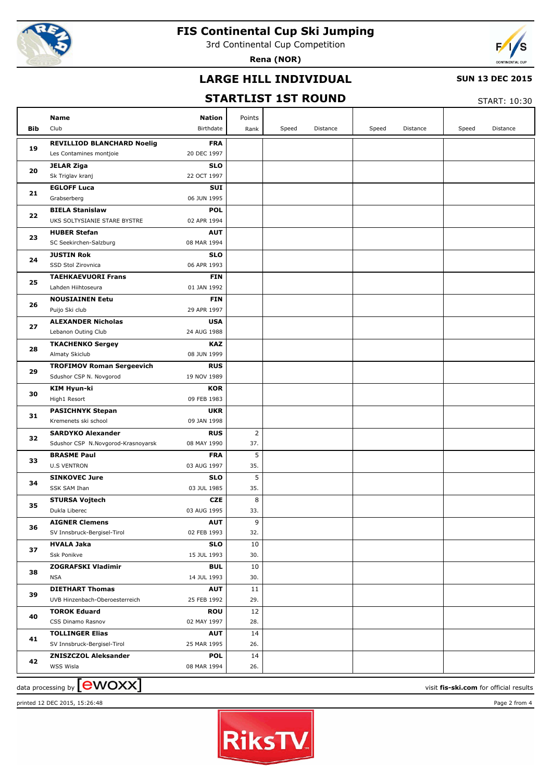

3rd Continental Cup Competition

**Rena (NOR)**



### **LARGE HILL INDIVIDUAL**

#### **SUN 13 DEC 2015**

## **STARTLIST 1ST ROUND**

 $STAPT: 10:30$ 

|     |                                                          |                           |                |       |          |       |          |       | JIMNI . 10.JV |
|-----|----------------------------------------------------------|---------------------------|----------------|-------|----------|-------|----------|-------|---------------|
|     | Name                                                     | <b>Nation</b>             | Points         |       |          |       |          |       |               |
| Bib | Club                                                     | Birthdate                 | Rank           | Speed | Distance | Speed | Distance | Speed | Distance      |
|     | <b>REVILLIOD BLANCHARD Noelig</b>                        | <b>FRA</b>                |                |       |          |       |          |       |               |
| 19  | Les Contamines montjoie                                  | 20 DEC 1997               |                |       |          |       |          |       |               |
| 20  | <b>JELAR Ziga</b>                                        | <b>SLO</b>                |                |       |          |       |          |       |               |
|     | Sk Triglav kranj                                         | 22 OCT 1997               |                |       |          |       |          |       |               |
| 21  | <b>EGLOFF Luca</b>                                       | <b>SUI</b>                |                |       |          |       |          |       |               |
|     | Grabserberg                                              | 06 JUN 1995               |                |       |          |       |          |       |               |
| 22  | <b>BIELA Stanislaw</b>                                   | <b>POL</b>                |                |       |          |       |          |       |               |
|     | UKS SOLTYSIANIE STARE BYSTRE                             | 02 APR 1994               |                |       |          |       |          |       |               |
| 23  | <b>HUBER Stefan</b>                                      | <b>AUT</b>                |                |       |          |       |          |       |               |
|     | SC Seekirchen-Salzburg                                   | 08 MAR 1994               |                |       |          |       |          |       |               |
| 24  | <b>JUSTIN Rok</b>                                        | <b>SLO</b>                |                |       |          |       |          |       |               |
|     | SSD Stol Zirovnica                                       | 06 APR 1993               |                |       |          |       |          |       |               |
| 25  | <b>TAEHKAEVUORI Frans</b>                                | <b>FIN</b>                |                |       |          |       |          |       |               |
|     | Lahden Hiihtoseura                                       | 01 JAN 1992               |                |       |          |       |          |       |               |
| 26  | <b>NOUSIAINEN Eetu</b>                                   | <b>FIN</b><br>29 APR 1997 |                |       |          |       |          |       |               |
|     | Puijo Ski club<br><b>ALEXANDER Nicholas</b>              | <b>USA</b>                |                |       |          |       |          |       |               |
| 27  | Lebanon Outing Club                                      | 24 AUG 1988               |                |       |          |       |          |       |               |
|     | <b>TKACHENKO Sergey</b>                                  | KAZ                       |                |       |          |       |          |       |               |
| 28  | Almaty Skiclub                                           | 08 JUN 1999               |                |       |          |       |          |       |               |
|     | <b>TROFIMOV Roman Sergeevich</b>                         | <b>RUS</b>                |                |       |          |       |          |       |               |
| 29  | Sdushor CSP N. Novgorod                                  | 19 NOV 1989               |                |       |          |       |          |       |               |
|     | KIM Hyun-ki                                              | <b>KOR</b>                |                |       |          |       |          |       |               |
| 30  | High1 Resort                                             | 09 FEB 1983               |                |       |          |       |          |       |               |
|     | <b>PASICHNYK Stepan</b>                                  | <b>UKR</b>                |                |       |          |       |          |       |               |
| 31  | Kremenets ski school                                     | 09 JAN 1998               |                |       |          |       |          |       |               |
|     | <b>SARDYKO Alexander</b>                                 | <b>RUS</b>                | $\overline{2}$ |       |          |       |          |       |               |
| 32  | Sdushor CSP N.Novgorod-Krasnoyarsk                       | 08 MAY 1990               | 37.            |       |          |       |          |       |               |
| 33  | <b>BRASME Paul</b>                                       | <b>FRA</b>                | 5              |       |          |       |          |       |               |
|     | <b>U.S VENTRON</b>                                       | 03 AUG 1997               | 35.            |       |          |       |          |       |               |
| 34  | <b>SINKOVEC Jure</b>                                     | <b>SLO</b>                | 5              |       |          |       |          |       |               |
|     | SSK SAM Ihan                                             | 03 JUL 1985               | 35.            |       |          |       |          |       |               |
| 35  | <b>STURSA Vojtech</b>                                    | <b>CZE</b>                | 8              |       |          |       |          |       |               |
|     | Dukla Liberec                                            | 03 AUG 1995               | 33.            |       |          |       |          |       |               |
| 36  | <b>AIGNER Clemens</b>                                    | AUT                       | 9              |       |          |       |          |       |               |
|     | SV Innsbruck-Bergisel-Tirol                              | 02 FEB 1993               | 32.            |       |          |       |          |       |               |
| 37  | <b>HVALA Jaka</b>                                        | <b>SLO</b>                | 10             |       |          |       |          |       |               |
|     | Ssk Ponikve                                              | 15 JUL 1993               | 30.            |       |          |       |          |       |               |
| 38  | <b>ZOGRAFSKI Vladimir</b><br><b>NSA</b>                  | <b>BUL</b><br>14 JUL 1993 | 10<br>30.      |       |          |       |          |       |               |
|     |                                                          | <b>AUT</b>                |                |       |          |       |          |       |               |
| 39  | <b>DIETHART Thomas</b><br>UVB Hinzenbach-Oberoesterreich | 25 FEB 1992               | 11<br>29.      |       |          |       |          |       |               |
|     | <b>TOROK Eduard</b>                                      | <b>ROU</b>                | 12             |       |          |       |          |       |               |
| 40  | CSS Dinamo Rasnov                                        | 02 MAY 1997               | 28.            |       |          |       |          |       |               |
|     | <b>TOLLINGER Elias</b>                                   | <b>AUT</b>                | 14             |       |          |       |          |       |               |
| 41  | SV Innsbruck-Bergisel-Tirol                              | 25 MAR 1995               | 26.            |       |          |       |          |       |               |
|     | <b>ZNISZCZOL Aleksander</b>                              | <b>POL</b>                | 14             |       |          |       |          |       |               |
| 42  | WSS Wisla                                                | 08 MAR 1994               | 26.            |       |          |       |          |       |               |
|     |                                                          |                           |                |       |          |       |          |       |               |

data processing by **CWOXX** and  $\overline{A}$  and  $\overline{B}$  wisit **fis-ski.com** for official results printed 12 DEC 2015, 15:26:48 Page 2 from 4

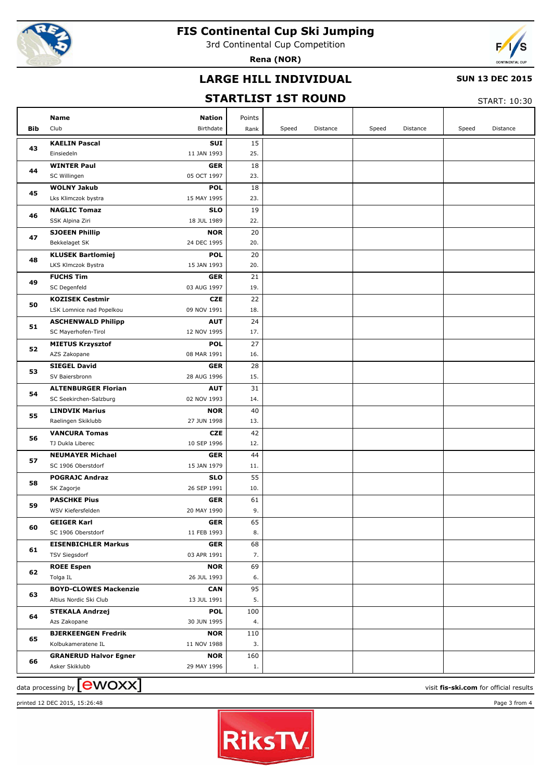

3rd Continental Cup Competition

**Rena (NOR)**



### **LARGE HILL INDIVIDUAL**

#### **SUN 13 DEC 2015**

## **STARTLIST 1ST ROUND**

START: 10:30

| Bib | Name<br><b>Nation</b><br>Club<br>Birthdate                                  | Points<br>Rank | Speed | Distance | Speed | Distance | Speed | Distance |
|-----|-----------------------------------------------------------------------------|----------------|-------|----------|-------|----------|-------|----------|
|     | <b>KAELIN Pascal</b><br>SUI                                                 | 15             |       |          |       |          |       |          |
| 43  | 11 JAN 1993<br>Einsiedeln                                                   | 25.            |       |          |       |          |       |          |
| 44  | <b>WINTER Paul</b><br><b>GER</b>                                            | 18             |       |          |       |          |       |          |
|     | 05 OCT 1997<br>SC Willingen                                                 | 23.            |       |          |       |          |       |          |
| 45  | <b>WOLNY Jakub</b><br><b>POL</b>                                            | 18             |       |          |       |          |       |          |
|     | Lks Klimczok bystra<br>15 MAY 1995                                          | 23.            |       |          |       |          |       |          |
| 46  | <b>SLO</b><br><b>NAGLIC Tomaz</b>                                           | 19             |       |          |       |          |       |          |
|     | SSK Alpina Ziri<br>18 JUL 1989                                              | 22.            |       |          |       |          |       |          |
| 47  | <b>SJOEEN Phillip</b><br><b>NOR</b>                                         | 20             |       |          |       |          |       |          |
|     | 24 DEC 1995<br>Bekkelaget SK                                                | 20.            |       |          |       |          |       |          |
| 48  | <b>POL</b><br><b>KLUSEK Bartlomiej</b><br>LKS Klmczok Bystra<br>15 JAN 1993 | 20<br>20.      |       |          |       |          |       |          |
|     | <b>FUCHS Tim</b><br><b>GER</b>                                              | 21             |       |          |       |          |       |          |
| 49  | 03 AUG 1997<br>SC Degenfeld                                                 | 19.            |       |          |       |          |       |          |
|     | <b>KOZISEK Cestmir</b><br><b>CZE</b>                                        | 22             |       |          |       |          |       |          |
| 50  | 09 NOV 1991<br>LSK Lomnice nad Popelkou                                     | 18.            |       |          |       |          |       |          |
|     | <b>ASCHENWALD Philipp</b><br><b>AUT</b>                                     | 24             |       |          |       |          |       |          |
| 51  | SC Mayerhofen-Tirol<br>12 NOV 1995                                          | 17.            |       |          |       |          |       |          |
|     | <b>POL</b><br><b>MIETUS Krzysztof</b>                                       | 27             |       |          |       |          |       |          |
| 52  | 08 MAR 1991<br>AZS Zakopane                                                 | 16.            |       |          |       |          |       |          |
|     | <b>SIEGEL David</b><br><b>GER</b>                                           | 28             |       |          |       |          |       |          |
| 53  | SV Baiersbronn<br>28 AUG 1996                                               | 15.            |       |          |       |          |       |          |
|     | <b>ALTENBURGER Florian</b><br><b>AUT</b>                                    | 31             |       |          |       |          |       |          |
| 54  | SC Seekirchen-Salzburg<br>02 NOV 1993                                       | 14.            |       |          |       |          |       |          |
|     | <b>LINDVIK Marius</b><br><b>NOR</b>                                         | 40             |       |          |       |          |       |          |
| 55  | 27 JUN 1998<br>Raelingen Skiklubb                                           | 13.            |       |          |       |          |       |          |
| 56  | <b>VANCURA Tomas</b><br><b>CZE</b>                                          | 42             |       |          |       |          |       |          |
|     | TJ Dukla Liberec<br>10 SEP 1996                                             | 12.            |       |          |       |          |       |          |
| 57  | <b>NEUMAYER Michael</b><br><b>GER</b>                                       | 44             |       |          |       |          |       |          |
|     | SC 1906 Oberstdorf<br>15 JAN 1979                                           | 11.            |       |          |       |          |       |          |
| 58  | <b>POGRAJC Andraz</b><br><b>SLO</b>                                         | 55             |       |          |       |          |       |          |
|     | 26 SEP 1991<br>SK Zagorje                                                   | 10.            |       |          |       |          |       |          |
| 59  | <b>PASCHKE Pius</b><br>GER                                                  | 61             |       |          |       |          |       |          |
|     | 20 MAY 1990<br>WSV Kiefersfelden                                            | 9.             |       |          |       |          |       |          |
| 60  | <b>GEIGER Karl</b><br><b>GER</b><br>SC 1906 Oberstdorf<br>11 FEB 1993       | 65<br>8.       |       |          |       |          |       |          |
|     | <b>EISENBICHLER Markus</b><br>GER                                           | 68             |       |          |       |          |       |          |
| 61  | 03 APR 1991<br><b>TSV Siegsdorf</b>                                         | 7.             |       |          |       |          |       |          |
|     | <b>ROEE Espen</b><br><b>NOR</b>                                             | 69             |       |          |       |          |       |          |
| 62  | 26 JUL 1993<br>Tolga IL                                                     | 6.             |       |          |       |          |       |          |
|     | <b>BOYD-CLOWES Mackenzie</b><br><b>CAN</b>                                  | 95             |       |          |       |          |       |          |
| 63  | 13 JUL 1991<br>Altius Nordic Ski Club                                       | 5.             |       |          |       |          |       |          |
|     | <b>STEKALA Andrzej</b><br><b>POL</b>                                        | 100            |       |          |       |          |       |          |
| 64  | 30 JUN 1995<br>Azs Zakopane                                                 | 4.             |       |          |       |          |       |          |
| 65  | <b>BJERKEENGEN Fredrik</b><br><b>NOR</b>                                    | 110            |       |          |       |          |       |          |
|     | 11 NOV 1988<br>Kolbukameratene IL                                           | 3.             |       |          |       |          |       |          |
| 66  | <b>GRANERUD Halvor Egner</b><br><b>NOR</b>                                  | 160            |       |          |       |          |       |          |
|     | Asker Skiklubb<br>29 MAY 1996                                               | 1.             |       |          |       |          |       |          |

data processing by **CWOXX** and  $\overline{A}$  and  $\overline{B}$  wisit **fis-ski.com** for official results



printed 12 DEC 2015, 15:26:48 Page 3 from 4